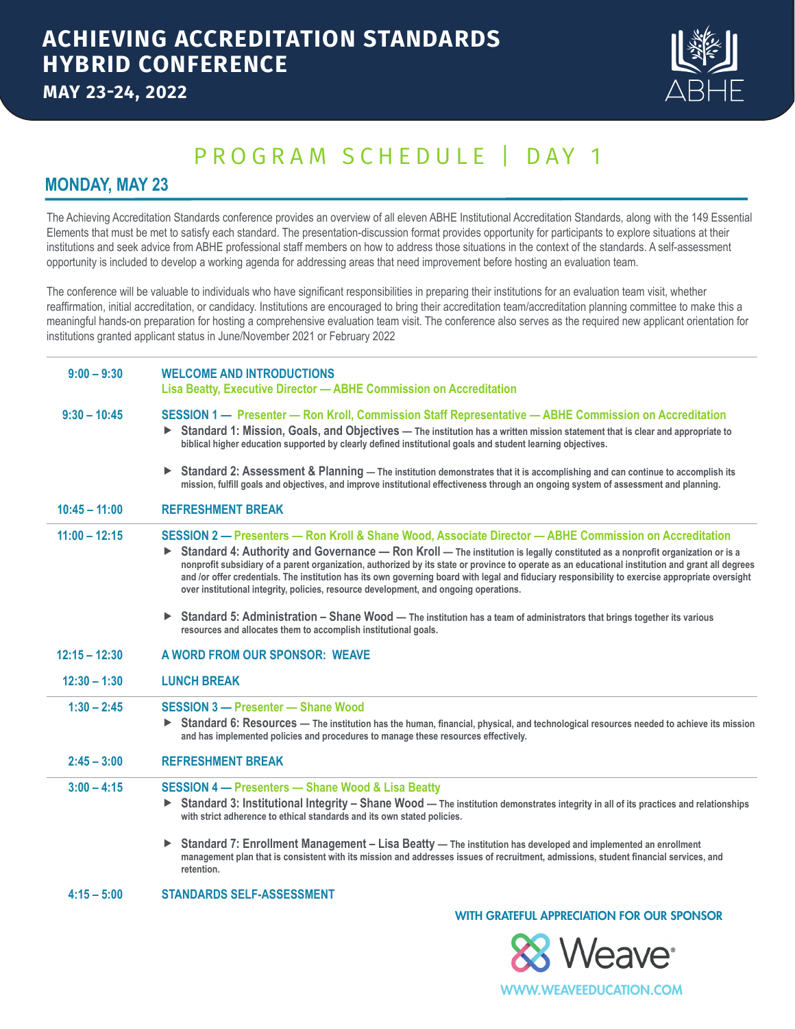

# PROGRAM SCHEDULE | DAY 1

### **MONDAY, MAY 23**

The Achieving Accreditation Standards conference provides an overview of all eleven ABHE Institutional Accreditation Standards, along with the 149 Essential Elements that must be met to satisfy each standard. The presentation-discussion format provides opportunity for participants to explore situations at their institutions and seek advice from ABHE professional staff members on how to address those situations in the context of the standards. A self-assessment opportunity is included to develop a working agenda for addressing areas that need improvement before hosting an evaluation team.

The conference will be valuable to individuals who have significant responsibilities in preparing their institutions for an evaluation team visit, whether reaffirmation, initial accreditation, or candidacy. Institutions are encouraged to bring their accreditation team/accreditation planning committee to make this a meaningful hands-on preparation for hosting a comprehensive evaluation team visit. The conference also serves as the required new applicant orientation for institutions granted applicant status in June/November 2021 or February 2022

| $9:00 - 9:30$   | <b>WELCOME AND INTRODUCTIONS</b><br>Lisa Beatty, Executive Director - ABHE Commission on Accreditation                                                                                                                                                                                                                                                                                                                                                                                                                                                                                                                                         |
|-----------------|------------------------------------------------------------------------------------------------------------------------------------------------------------------------------------------------------------------------------------------------------------------------------------------------------------------------------------------------------------------------------------------------------------------------------------------------------------------------------------------------------------------------------------------------------------------------------------------------------------------------------------------------|
| $9:30 - 10:45$  | SESSION 1 - Presenter - Ron Kroll, Commission Staff Representative - ABHE Commission on Accreditation<br>Standard 1: Mission, Goals, and Objectives - The institution has a written mission statement that is clear and appropriate to<br>▶<br>biblical higher education supported by clearly defined institutional goals and student learning objectives.                                                                                                                                                                                                                                                                                     |
|                 | <b>Standard 2: Assessment &amp; Planning — The institution demonstrates that it is accomplishing and can continue to accomplish its</b><br>▶<br>mission, fulfill goals and objectives, and improve institutional effectiveness through an ongoing system of assessment and planning.                                                                                                                                                                                                                                                                                                                                                           |
| $10:45 - 11:00$ | <b>REFRESHMENT BREAK</b>                                                                                                                                                                                                                                                                                                                                                                                                                                                                                                                                                                                                                       |
| $11:00 - 12:15$ | SESSION 2 - Presenters - Ron Kroll & Shane Wood, Associate Director - ABHE Commission on Accreditation<br>Standard 4: Authority and Governance - Ron Kroll - The institution is legally constituted as a nonprofit organization or is a<br>▶<br>nonprofit subsidiary of a parent organization, authorized by its state or province to operate as an educational institution and grant all degrees<br>and /or offer credentials. The institution has its own governing board with legal and fiduciary responsibility to exercise appropriate oversight<br>over institutional integrity, policies, resource development, and ongoing operations. |
|                 | Standard 5: Administration - Shane Wood - The institution has a team of administrators that brings together its various<br>▶.<br>resources and allocates them to accomplish institutional goals.                                                                                                                                                                                                                                                                                                                                                                                                                                               |
|                 |                                                                                                                                                                                                                                                                                                                                                                                                                                                                                                                                                                                                                                                |
| $12:15 - 12:30$ | A WORD FROM OUR SPONSOR: WEAVE                                                                                                                                                                                                                                                                                                                                                                                                                                                                                                                                                                                                                 |
| $12:30 - 1:30$  | <b>LUNCH BREAK</b>                                                                                                                                                                                                                                                                                                                                                                                                                                                                                                                                                                                                                             |
| $1:30 - 2:45$   | <b>SESSION 3 - Presenter - Shane Wood</b><br>Standard 6: Resources - The institution has the human, financial, physical, and technological resources needed to achieve its mission<br>▶.<br>and has implemented policies and procedures to manage these resources effectively.                                                                                                                                                                                                                                                                                                                                                                 |
| $2:45 - 3:00$   | <b>REFRESHMENT BREAK</b>                                                                                                                                                                                                                                                                                                                                                                                                                                                                                                                                                                                                                       |
| $3:00 - 4:15$   | <b>SESSION 4 - Presenters - Shane Wood &amp; Lisa Beatty</b><br>Standard 3: Institutional Integrity - Shane Wood - The institution demonstrates integrity in all of its practices and relationships<br>▶.<br>with strict adherence to ethical standards and its own stated policies.                                                                                                                                                                                                                                                                                                                                                           |
|                 | Standard 7: Enrollment Management - Lisa Beatty - The institution has developed and implemented an enrollment<br>▶<br>management plan that is consistent with its mission and addresses issues of recruitment, admissions, student financial services, and<br>retention.                                                                                                                                                                                                                                                                                                                                                                       |

#### WITH GRATEFUL APPRECIATION FOR OUR SPONSOR